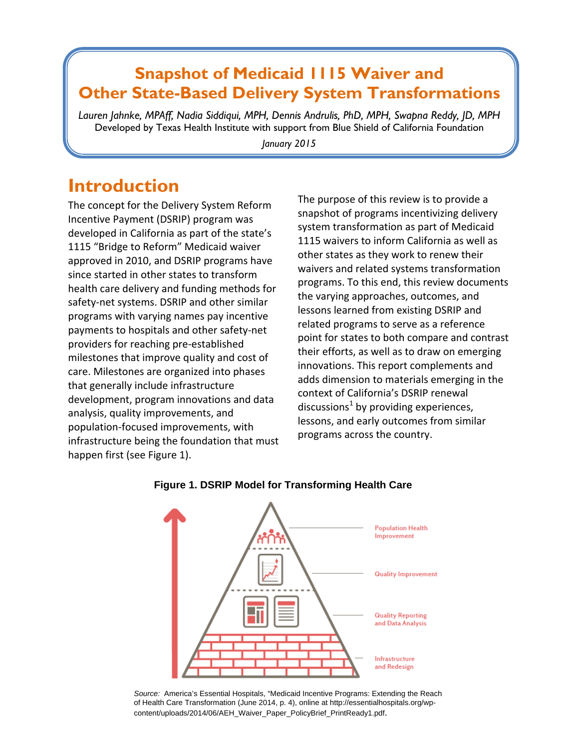# **Snapshot of Medicaid 1115 Waiver and Other State-Based Delivery System Transformations**

*Lauren Jahnke, MPAff, Nadia Siddiqui, MPH, Dennis Andrulis, PhD, MPH, Swapna Reddy, JD, MPH* Developed by Texas Health Institute with support from Blue Shield of California Foundation

*January 2015* 

## **Introduction**

The concept for the Delivery System Reform Incentive Payment (DSRIP) program was developed in California as part of the state's 1115 "Bridge to Reform" Medicaid waiver approved in 2010, and DSRIP programs have since started in other states to transform health care delivery and funding methods for safety-net systems. DSRIP and other similar programs with varying names pay incentive payments to hospitals and other safety‐net providers for reaching pre‐established milestones that improve quality and cost of care. Milestones are organized into phases that generally include infrastructure development, program innovations and data analysis, quality improvements, and population‐focused improvements, with infrastructure being the foundation that must happen first (see Figure 1).

The purpose of this review is to provide a snapshot of programs incentivizing delivery system transformation as part of Medicaid 1115 waivers to inform California as well as other states as they work to renew their waivers and related systems transformation programs. To this end, this review documents the varying approaches, outcomes, and lessons learned from existing DSRIP and related programs to serve as a reference point for states to both compare and contrast their efforts, as well as to draw on emerging innovations. This report complements and adds dimension to materials emerging in the context of California's DSRIP renewal discussions<sup>1</sup> by providing experiences, lessons, and early outcomes from similar programs across the country.



#### **Figure 1. DSRIP Model for Transforming Health Care**

*Source:* America's Essential Hospitals, "Medicaid Incentive Programs: Extending the Reach of Health Care Transformation (June 2014, p. 4), online at http://essentialhospitals.org/wpcontent/uploads/2014/06/AEH\_Waiver\_Paper\_PolicyBrief\_PrintReady1.pdf.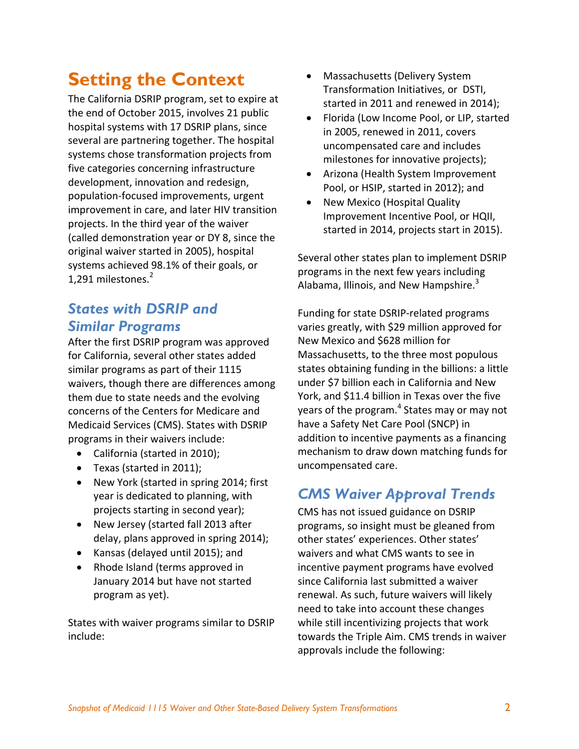# **Setting the Context**

The California DSRIP program, set to expire at the end of October 2015, involves 21 public hospital systems with 17 DSRIP plans, since several are partnering together. The hospital systems chose transformation projects from five categories concerning infrastructure development, innovation and redesign, population‐focused improvements, urgent improvement in care, and later HIV transition projects. In the third year of the waiver (called demonstration year or DY 8, since the original waiver started in 2005), hospital systems achieved 98.1% of their goals, or 1,291 milestones.<sup>2</sup>

## *States with DSRIP and Similar Programs*

After the first DSRIP program was approved for California, several other states added similar programs as part of their 1115 waivers, though there are differences among them due to state needs and the evolving concerns of the Centers for Medicare and Medicaid Services (CMS). States with DSRIP programs in their waivers include:

- California (started in 2010);
- Texas (started in 2011);
- New York (started in spring 2014; first year is dedicated to planning, with projects starting in second year);
- New Jersey (started fall 2013 after delay, plans approved in spring 2014);
- Kansas (delayed until 2015); and
- Rhode Island (terms approved in January 2014 but have not started program as yet).

States with waiver programs similar to DSRIP include:

- Massachusetts (Delivery System Transformation Initiatives, or DSTI, started in 2011 and renewed in 2014);
- Florida (Low Income Pool, or LIP, started in 2005, renewed in 2011, covers uncompensated care and includes milestones for innovative projects);
- Arizona (Health System Improvement Pool, or HSIP, started in 2012); and
- New Mexico (Hospital Quality Improvement Incentive Pool, or HQII, started in 2014, projects start in 2015).

Several other states plan to implement DSRIP programs in the next few years including Alabama, Illinois, and New Hampshire.<sup>3</sup>

Funding for state DSRIP‐related programs varies greatly, with \$29 million approved for New Mexico and \$628 million for Massachusetts, to the three most populous states obtaining funding in the billions: a little under \$7 billion each in California and New York, and \$11.4 billion in Texas over the five years of the program.<sup>4</sup> States may or may not have a Safety Net Care Pool (SNCP) in addition to incentive payments as a financing mechanism to draw down matching funds for uncompensated care.

## *CMS Waiver Approval Trends*

CMS has not issued guidance on DSRIP programs, so insight must be gleaned from other states' experiences. Other states' waivers and what CMS wants to see in incentive payment programs have evolved since California last submitted a waiver renewal. As such, future waivers will likely need to take into account these changes while still incentivizing projects that work towards the Triple Aim. CMS trends in waiver approvals include the following: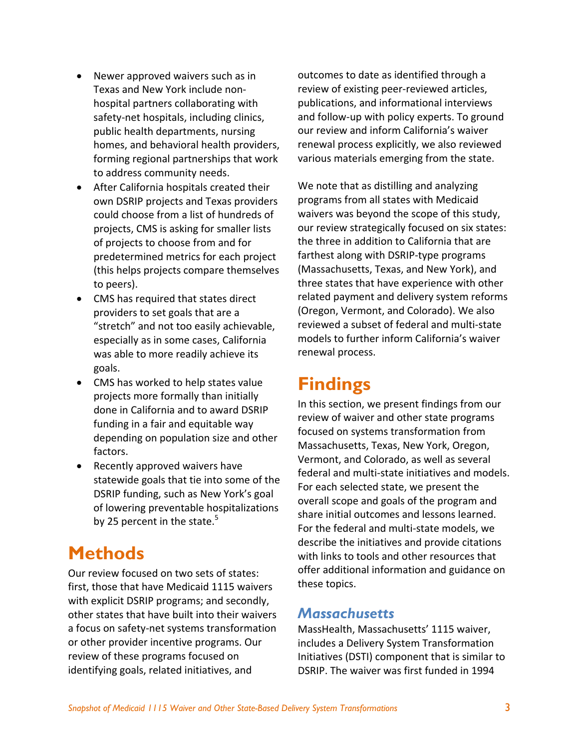- Newer approved waivers such as in Texas and New York include non‐ hospital partners collaborating with safety‐net hospitals, including clinics, public health departments, nursing homes, and behavioral health providers, forming regional partnerships that work to address community needs.
- After California hospitals created their own DSRIP projects and Texas providers could choose from a list of hundreds of projects, CMS is asking for smaller lists of projects to choose from and for predetermined metrics for each project (this helps projects compare themselves to peers).
- CMS has required that states direct providers to set goals that are a "stretch" and not too easily achievable, especially as in some cases, California was able to more readily achieve its goals.
- CMS has worked to help states value projects more formally than initially done in California and to award DSRIP funding in a fair and equitable way depending on population size and other factors.
- Recently approved waivers have statewide goals that tie into some of the DSRIP funding, such as New York's goal of lowering preventable hospitalizations by 25 percent in the state. $5$

# **Methods**

Our review focused on two sets of states: first, those that have Medicaid 1115 waivers with explicit DSRIP programs; and secondly, other states that have built into their waivers a focus on safety‐net systems transformation or other provider incentive programs. Our review of these programs focused on identifying goals, related initiatives, and

outcomes to date as identified through a review of existing peer‐reviewed articles, publications, and informational interviews and follow‐up with policy experts. To ground our review and inform California's waiver renewal process explicitly, we also reviewed various materials emerging from the state.

We note that as distilling and analyzing programs from all states with Medicaid waivers was beyond the scope of this study, our review strategically focused on six states: the three in addition to California that are farthest along with DSRIP‐type programs (Massachusetts, Texas, and New York), and three states that have experience with other related payment and delivery system reforms (Oregon, Vermont, and Colorado). We also reviewed a subset of federal and multi‐state models to further inform California's waiver renewal process.

# **Findings**

In this section, we present findings from our review of waiver and other state programs focused on systems transformation from Massachusetts, Texas, New York, Oregon, Vermont, and Colorado, as well as several federal and multi‐state initiatives and models. For each selected state, we present the overall scope and goals of the program and share initial outcomes and lessons learned. For the federal and multi‐state models, we describe the initiatives and provide citations with links to tools and other resources that offer additional information and guidance on these topics.

## *Massachusetts*

MassHealth, Massachusetts' 1115 waiver, includes a Delivery System Transformation Initiatives (DSTI) component that is similar to DSRIP. The waiver was first funded in 1994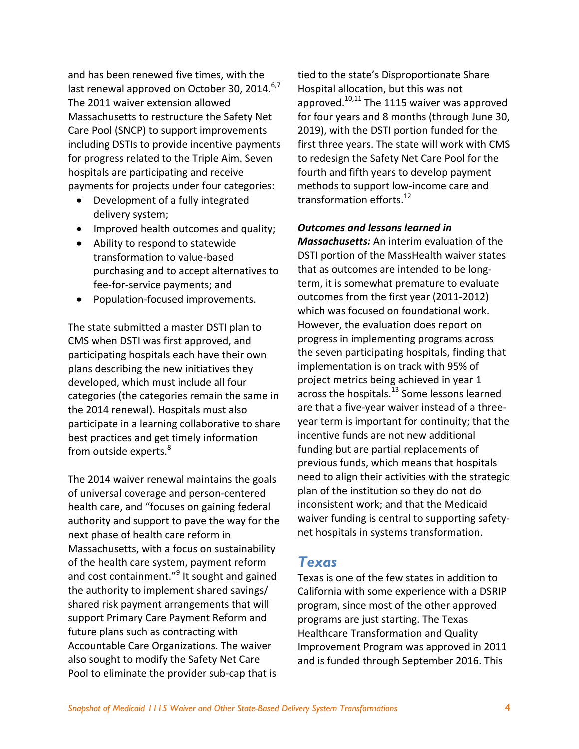and has been renewed five times, with the last renewal approved on October 30, 2014.<sup>6,7</sup> The 2011 waiver extension allowed Massachusetts to restructure the Safety Net Care Pool (SNCP) to support improvements including DSTIs to provide incentive payments for progress related to the Triple Aim. Seven hospitals are participating and receive payments for projects under four categories:

- Development of a fully integrated delivery system;
- Improved health outcomes and quality;
- Ability to respond to statewide transformation to value‐based purchasing and to accept alternatives to fee‐for‐service payments; and
- Population‐focused improvements.

The state submitted a master DSTI plan to CMS when DSTI was first approved, and participating hospitals each have their own plans describing the new initiatives they developed, which must include all four categories (the categories remain the same in the 2014 renewal). Hospitals must also participate in a learning collaborative to share best practices and get timely information from outside experts.<sup>8</sup>

The 2014 waiver renewal maintains the goals of universal coverage and person‐centered health care, and "focuses on gaining federal authority and support to pave the way for the next phase of health care reform in Massachusetts, with a focus on sustainability of the health care system, payment reform and cost containment."<sup>9</sup> It sought and gained the authority to implement shared savings/ shared risk payment arrangements that will support Primary Care Payment Reform and future plans such as contracting with Accountable Care Organizations. The waiver also sought to modify the Safety Net Care Pool to eliminate the provider sub‐cap that is

tied to the state's Disproportionate Share Hospital allocation, but this was not approved. $10,11$  The 1115 waiver was approved for four years and 8 months (through June 30, 2019), with the DSTI portion funded for the first three years. The state will work with CMS to redesign the Safety Net Care Pool for the fourth and fifth years to develop payment methods to support low‐income care and transformation efforts.<sup>12</sup>

#### *Outcomes and lessons learned in*

*Massachusetts:* An interim evaluation of the DSTI portion of the MassHealth waiver states that as outcomes are intended to be long‐ term, it is somewhat premature to evaluate outcomes from the first year (2011‐2012) which was focused on foundational work. However, the evaluation does report on progress in implementing programs across the seven participating hospitals, finding that implementation is on track with 95% of project metrics being achieved in year 1 across the hospitals.<sup>13</sup> Some lessons learned are that a five‐year waiver instead of a three‐ year term is important for continuity; that the incentive funds are not new additional funding but are partial replacements of previous funds, which means that hospitals need to align their activities with the strategic plan of the institution so they do not do inconsistent work; and that the Medicaid waiver funding is central to supporting safety‐ net hospitals in systems transformation.

### *Texas*

Texas is one of the few states in addition to California with some experience with a DSRIP program, since most of the other approved programs are just starting. The Texas Healthcare Transformation and Quality Improvement Program was approved in 2011 and is funded through September 2016. This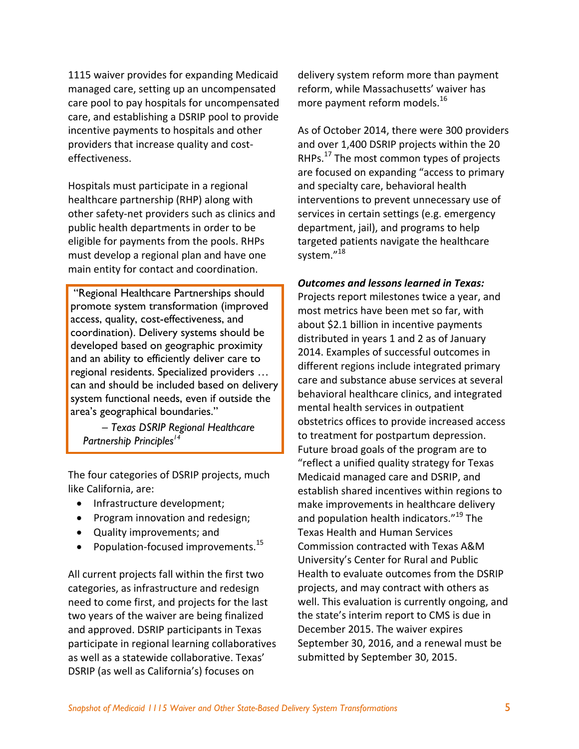1115 waiver provides for expanding Medicaid managed care, setting up an uncompensated care pool to pay hospitals for uncompensated care, and establishing a DSRIP pool to provide incentive payments to hospitals and other providers that increase quality and cost‐ effectiveness.

Hospitals must participate in a regional healthcare partnership (RHP) along with other safety‐net providers such as clinics and public health departments in order to be eligible for payments from the pools. RHPs must develop a regional plan and have one main entity for contact and coordination.

 "Regional Healthcare Partnerships should promote system transformation (improved access, quality, cost-effectiveness, and coordination). Delivery systems should be developed based on geographic proximity and an ability to efficiently deliver care to regional residents. Specialized providers … can and should be included based on delivery system functional needs, even if outside the area's geographical boundaries."

 *– Texas DSRIP Regional Healthcare Partnership Principles<sup>14</sup>* 

The four categories of DSRIP projects, much like California, are:

- Infrastructure development;
- Program innovation and redesign;
- Quality improvements; and
- Population-focused improvements.<sup>15</sup>

All current projects fall within the first two categories, as infrastructure and redesign need to come first, and projects for the last two years of the waiver are being finalized and approved. DSRIP participants in Texas participate in regional learning collaboratives as well as a statewide collaborative. Texas' DSRIP (as well as California's) focuses on

delivery system reform more than payment reform, while Massachusetts' waiver has more payment reform models.<sup>16</sup>

As of October 2014, there were 300 providers and over 1,400 DSRIP projects within the 20 RHPs.<sup>17</sup> The most common types of projects are focused on expanding "access to primary and specialty care, behavioral health interventions to prevent unnecessary use of services in certain settings (e.g. emergency department, jail), and programs to help targeted patients navigate the healthcare system."<sup>18</sup>

*Outcomes and lessons learned in Texas:* Projects report milestones twice a year, and most metrics have been met so far, with about \$2.1 billion in incentive payments distributed in years 1 and 2 as of January 2014. Examples of successful outcomes in different regions include integrated primary care and substance abuse services at several behavioral healthcare clinics, and integrated mental health services in outpatient obstetrics offices to provide increased access to treatment for postpartum depression. Future broad goals of the program are to "reflect a unified quality strategy for Texas Medicaid managed care and DSRIP, and establish shared incentives within regions to make improvements in healthcare delivery and population health indicators."<sup>19</sup> The Texas Health and Human Services Commission contracted with Texas A&M University's Center for Rural and Public Health to evaluate outcomes from the DSRIP projects, and may contract with others as well. This evaluation is currently ongoing, and the state's interim report to CMS is due in December 2015. The waiver expires September 30, 2016, and a renewal must be submitted by September 30, 2015.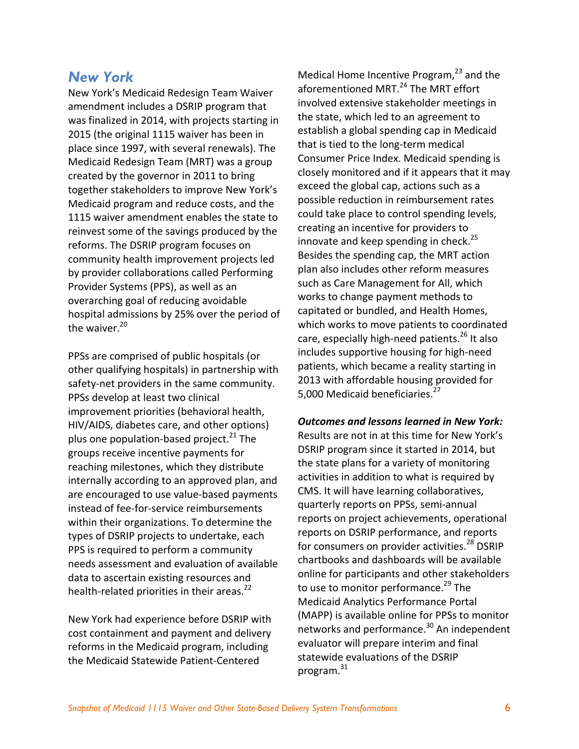### *New York*

New York's Medicaid Redesign Team Waiver amendment includes a DSRIP program that was finalized in 2014, with projects starting in 2015 (the original 1115 waiver has been in place since 1997, with several renewals). The Medicaid Redesign Team (MRT) was a group created by the governor in 2011 to bring together stakeholders to improve New York's Medicaid program and reduce costs, and the 1115 waiver amendment enables the state to reinvest some of the savings produced by the reforms. The DSRIP program focuses on community health improvement projects led by provider collaborations called Performing Provider Systems (PPS), as well as an overarching goal of reducing avoidable hospital admissions by 25% over the period of the waiver. $20$ 

PPSs are comprised of public hospitals (or other qualifying hospitals) in partnership with safety-net providers in the same community. PPSs develop at least two clinical improvement priorities (behavioral health, HIV/AIDS, diabetes care, and other options) plus one population-based project. $^{21}$  The groups receive incentive payments for reaching milestones, which they distribute internally according to an approved plan, and are encouraged to use value‐based payments instead of fee‐for‐service reimbursements within their organizations. To determine the types of DSRIP projects to undertake, each PPS is required to perform a community needs assessment and evaluation of available data to ascertain existing resources and health-related priorities in their areas.<sup>22</sup>

New York had experience before DSRIP with cost containment and payment and delivery reforms in the Medicaid program, including the Medicaid Statewide Patient‐Centered

Medical Home Incentive Program, $23$  and the aforementioned MRT.<sup>24</sup> The MRT effort involved extensive stakeholder meetings in the state, which led to an agreement to establish a global spending cap in Medicaid that is tied to the long‐term medical Consumer Price Index. Medicaid spending is closely monitored and if it appears that it may exceed the global cap, actions such as a possible reduction in reimbursement rates could take place to control spending levels, creating an incentive for providers to innovate and keep spending in check. $^{25}$ Besides the spending cap, the MRT action plan also includes other reform measures such as Care Management for All, which works to change payment methods to capitated or bundled, and Health Homes, which works to move patients to coordinated care, especially high-need patients.<sup>26</sup> It also includes supportive housing for high‐need patients, which became a reality starting in 2013 with affordable housing provided for 5,000 Medicaid beneficiaries.<sup>27</sup>

#### *Outcomes and lessons learned in New York:*

Results are not in at this time for New York's DSRIP program since it started in 2014, but the state plans for a variety of monitoring activities in addition to what is required by CMS. It will have learning collaboratives, quarterly reports on PPSs, semi‐annual reports on project achievements, operational reports on DSRIP performance, and reports for consumers on provider activities.<sup>28</sup> DSRIP chartbooks and dashboards will be available online for participants and other stakeholders to use to monitor performance.<sup>29</sup> The Medicaid Analytics Performance Portal (MAPP) is available online for PPSs to monitor networks and performance.<sup>30</sup> An independent evaluator will prepare interim and final statewide evaluations of the DSRIP program.31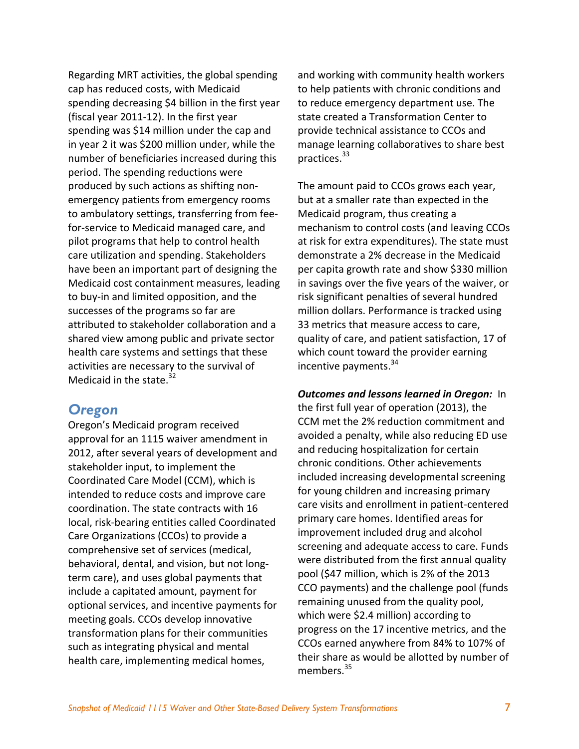Regarding MRT activities, the global spending cap has reduced costs, with Medicaid spending decreasing \$4 billion in the first year (fiscal year 2011‐12). In the first year spending was \$14 million under the cap and in year 2 it was \$200 million under, while the number of beneficiaries increased during this period. The spending reductions were produced by such actions as shifting non‐ emergency patients from emergency rooms to ambulatory settings, transferring from fee‐ for‐service to Medicaid managed care, and pilot programs that help to control health care utilization and spending. Stakeholders have been an important part of designing the Medicaid cost containment measures, leading to buy‐in and limited opposition, and the successes of the programs so far are attributed to stakeholder collaboration and a shared view among public and private sector health care systems and settings that these activities are necessary to the survival of Medicaid in the state. $32$ 

### *Oregon*

Oregon's Medicaid program received approval for an 1115 waiver amendment in 2012, after several years of development and stakeholder input, to implement the Coordinated Care Model (CCM), which is intended to reduce costs and improve care coordination. The state contracts with 16 local, risk‐bearing entities called Coordinated Care Organizations (CCOs) to provide a comprehensive set of services (medical, behavioral, dental, and vision, but not long‐ term care), and uses global payments that include a capitated amount, payment for optional services, and incentive payments for meeting goals. CCOs develop innovative transformation plans for their communities such as integrating physical and mental health care, implementing medical homes,

and working with community health workers to help patients with chronic conditions and to reduce emergency department use. The state created a Transformation Center to provide technical assistance to CCOs and manage learning collaboratives to share best practices.33

The amount paid to CCOs grows each year, but at a smaller rate than expected in the Medicaid program, thus creating a mechanism to control costs (and leaving CCOs at risk for extra expenditures). The state must demonstrate a 2% decrease in the Medicaid per capita growth rate and show \$330 million in savings over the five years of the waiver, or risk significant penalties of several hundred million dollars. Performance is tracked using 33 metrics that measure access to care, quality of care, and patient satisfaction, 17 of which count toward the provider earning incentive payments. $34$ 

*Outcomes and lessons learned in Oregon:* In the first full year of operation (2013), the CCM met the 2% reduction commitment and avoided a penalty, while also reducing ED use and reducing hospitalization for certain chronic conditions. Other achievements included increasing developmental screening for young children and increasing primary care visits and enrollment in patient‐centered primary care homes. Identified areas for improvement included drug and alcohol screening and adequate access to care. Funds were distributed from the first annual quality pool (\$47 million, which is 2% of the 2013 CCO payments) and the challenge pool (funds remaining unused from the quality pool, which were \$2.4 million) according to progress on the 17 incentive metrics, and the CCOs earned anywhere from 84% to 107% of their share as would be allotted by number of members.<sup>35</sup>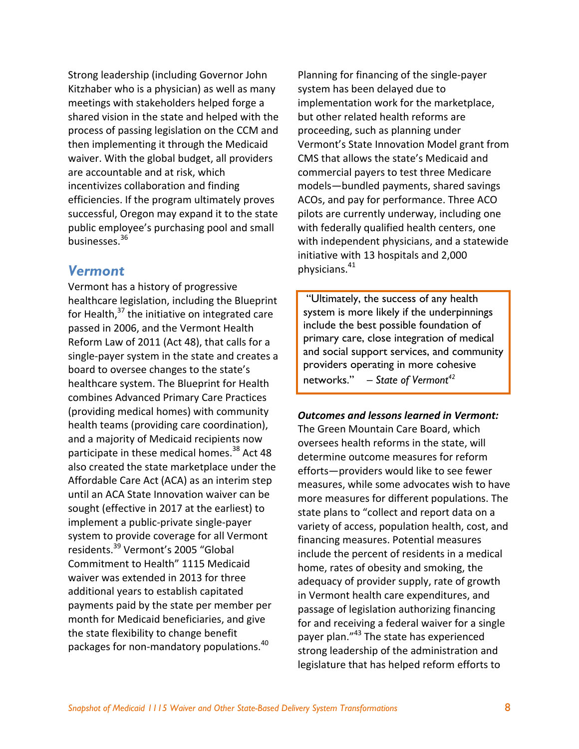Strong leadership (including Governor John Kitzhaber who is a physician) as well as many meetings with stakeholders helped forge a shared vision in the state and helped with the process of passing legislation on the CCM and then implementing it through the Medicaid waiver. With the global budget, all providers are accountable and at risk, which incentivizes collaboration and finding efficiencies. If the program ultimately proves successful, Oregon may expand it to the state public employee's purchasing pool and small businesses.36

### *Vermont*

Vermont has a history of progressive healthcare legislation, including the Blueprint for Health, $37$  the initiative on integrated care passed in 2006, and the Vermont Health Reform Law of 2011 (Act 48), that calls for a single‐payer system in the state and creates a board to oversee changes to the state's healthcare system. The Blueprint for Health combines Advanced Primary Care Practices (providing medical homes) with community health teams (providing care coordination), and a majority of Medicaid recipients now participate in these medical homes.<sup>38</sup> Act 48 also created the state marketplace under the Affordable Care Act (ACA) as an interim step until an ACA State Innovation waiver can be sought (effective in 2017 at the earliest) to implement a public‐private single‐payer system to provide coverage for all Vermont residents.39 Vermont's 2005 "Global Commitment to Health" 1115 Medicaid waiver was extended in 2013 for three additional years to establish capitated payments paid by the state per member per month for Medicaid beneficiaries, and give the state flexibility to change benefit packages for non-mandatory populations.<sup>40</sup>

Planning for financing of the single‐payer system has been delayed due to implementation work for the marketplace, but other related health reforms are proceeding, such as planning under Vermont's State Innovation Model grant from CMS that allows the state's Medicaid and commercial payers to test three Medicare models—bundled payments, shared savings ACOs, and pay for performance. Three ACO pilots are currently underway, including one with federally qualified health centers, one with independent physicians, and a statewide initiative with 13 hospitals and 2,000 physicians.<sup>41</sup>

 "Ultimately, the success of any health system is more likely if the underpinnings include the best possible foundation of primary care, close integration of medical and social support services, and community providers operating in more cohesive networks." *– State of Vermont42*

### *Outcomes and lessons learned in Vermont:*

The Green Mountain Care Board, which oversees health reforms in the state, will determine outcome measures for reform efforts—providers would like to see fewer measures, while some advocates wish to have more measures for different populations. The state plans to "collect and report data on a variety of access, population health, cost, and financing measures. Potential measures include the percent of residents in a medical home, rates of obesity and smoking, the adequacy of provider supply, rate of growth in Vermont health care expenditures, and passage of legislation authorizing financing for and receiving a federal waiver for a single payer plan."<sup>43</sup> The state has experienced strong leadership of the administration and legislature that has helped reform efforts to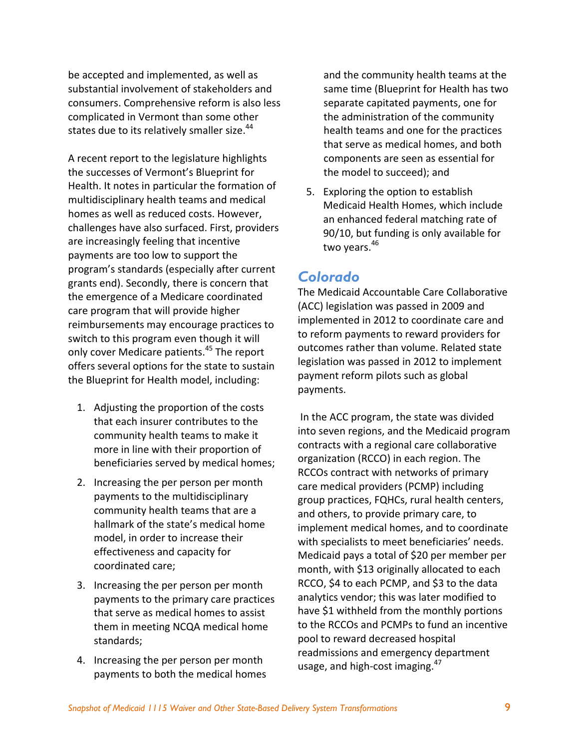be accepted and implemented, as well as substantial involvement of stakeholders and consumers. Comprehensive reform is also less complicated in Vermont than some other states due to its relatively smaller size.<sup>44</sup>

A recent report to the legislature highlights the successes of Vermont's Blueprint for Health. It notes in particular the formation of multidisciplinary health teams and medical homes as well as reduced costs. However, challenges have also surfaced. First, providers are increasingly feeling that incentive payments are too low to support the program's standards (especially after current grants end). Secondly, there is concern that the emergence of a Medicare coordinated care program that will provide higher reimbursements may encourage practices to switch to this program even though it will only cover Medicare patients.45 The report offers several options for the state to sustain the Blueprint for Health model, including:

- 1. Adjusting the proportion of the costs that each insurer contributes to the community health teams to make it more in line with their proportion of beneficiaries served by medical homes;
- 2. Increasing the per person per month payments to the multidisciplinary community health teams that are a hallmark of the state's medical home model, in order to increase their effectiveness and capacity for coordinated care;
- 3. Increasing the per person per month payments to the primary care practices that serve as medical homes to assist them in meeting NCQA medical home standards;
- 4. Increasing the per person per month payments to both the medical homes

and the community health teams at the same time (Blueprint for Health has two separate capitated payments, one for the administration of the community health teams and one for the practices that serve as medical homes, and both components are seen as essential for the model to succeed); and

5. Exploring the option to establish Medicaid Health Homes, which include an enhanced federal matching rate of 90/10, but funding is only available for two years.<sup>46</sup>

## *Colorado*

The Medicaid Accountable Care Collaborative (ACC) legislation was passed in 2009 and implemented in 2012 to coordinate care and to reform payments to reward providers for outcomes rather than volume. Related state legislation was passed in 2012 to implement payment reform pilots such as global payments.

In the ACC program, the state was divided into seven regions, and the Medicaid program contracts with a regional care collaborative organization (RCCO) in each region. The RCCOs contract with networks of primary care medical providers (PCMP) including group practices, FQHCs, rural health centers, and others, to provide primary care, to implement medical homes, and to coordinate with specialists to meet beneficiaries' needs. Medicaid pays a total of \$20 per member per month, with \$13 originally allocated to each RCCO, \$4 to each PCMP, and \$3 to the data analytics vendor; this was later modified to have \$1 withheld from the monthly portions to the RCCOs and PCMPs to fund an incentive pool to reward decreased hospital readmissions and emergency department usage, and high-cost imaging.<sup>47</sup>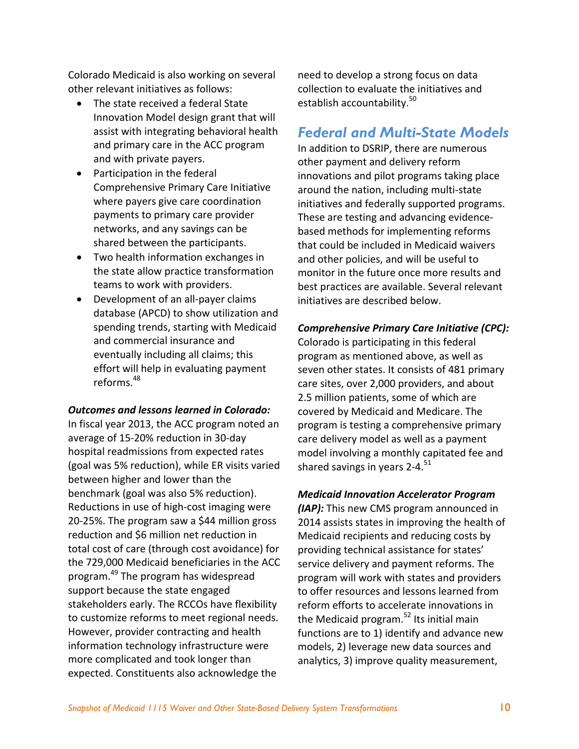Colorado Medicaid is also working on several other relevant initiatives as follows:

- The state received a federal State Innovation Model design grant that will assist with integrating behavioral health and primary care in the ACC program and with private payers.
- Participation in the federal Comprehensive Primary Care Initiative where payers give care coordination payments to primary care provider networks, and any savings can be shared between the participants.
- Two health information exchanges in the state allow practice transformation teams to work with providers.
- Development of an all‐payer claims database (APCD) to show utilization and spending trends, starting with Medicaid and commercial insurance and eventually including all claims; this effort will help in evaluating payment reforms $48$

#### *Outcomes and lessons learned in Colorado:*

In fiscal year 2013, the ACC program noted an average of 15‐20% reduction in 30‐day hospital readmissions from expected rates (goal was 5% reduction), while ER visits varied between higher and lower than the benchmark (goal was also 5% reduction). Reductions in use of high‐cost imaging were 20‐25%. The program saw a \$44 million gross reduction and \$6 million net reduction in total cost of care (through cost avoidance) for the 729,000 Medicaid beneficiaries in the ACC program.49 The program has widespread support because the state engaged stakeholders early. The RCCOs have flexibility to customize reforms to meet regional needs. However, provider contracting and health information technology infrastructure were more complicated and took longer than expected. Constituents also acknowledge the

need to develop a strong focus on data collection to evaluate the initiatives and establish accountability.<sup>50</sup>

### *Federal and Multi-State Models*

In addition to DSRIP, there are numerous other payment and delivery reform innovations and pilot programs taking place around the nation, including multi‐state initiatives and federally supported programs. These are testing and advancing evidence‐ based methods for implementing reforms that could be included in Medicaid waivers and other policies, and will be useful to monitor in the future once more results and best practices are available. Several relevant initiatives are described below.

#### *Comprehensive Primary Care Initiative (CPC):*

Colorado is participating in this federal program as mentioned above, as well as seven other states. It consists of 481 primary care sites, over 2,000 providers, and about 2.5 million patients, some of which are covered by Medicaid and Medicare. The program is testing a comprehensive primary care delivery model as well as a payment model involving a monthly capitated fee and shared savings in years  $2-4$ .<sup>51</sup>

#### *Medicaid Innovation Accelerator Program*

*(IAP):* This new CMS program announced in 2014 assists states in improving the health of Medicaid recipients and reducing costs by providing technical assistance for states' service delivery and payment reforms. The program will work with states and providers to offer resources and lessons learned from reform efforts to accelerate innovations in the Medicaid program.<sup>52</sup> Its initial main functions are to 1) identify and advance new models, 2) leverage new data sources and analytics, 3) improve quality measurement,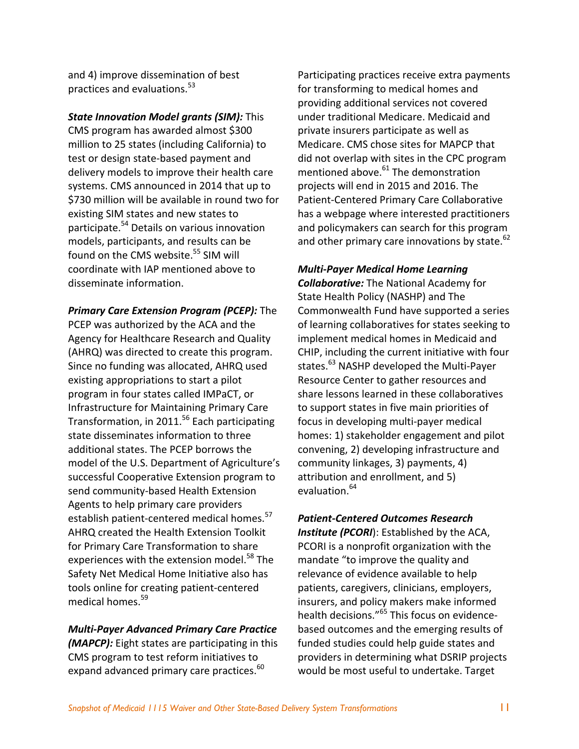and 4) improve dissemination of best practices and evaluations.<sup>53</sup>

*State Innovation Model grants (SIM):* This CMS program has awarded almost \$300 million to 25 states (including California) to test or design state‐based payment and delivery models to improve their health care systems. CMS announced in 2014 that up to \$730 million will be available in round two for existing SIM states and new states to participate.<sup>54</sup> Details on various innovation models, participants, and results can be found on the CMS website.<sup>55</sup> SIM will coordinate with IAP mentioned above to disseminate information.

*Primary Care Extension Program (PCEP):* The PCEP was authorized by the ACA and the Agency for Healthcare Research and Quality (AHRQ) was directed to create this program. Since no funding was allocated, AHRQ used existing appropriations to start a pilot program in four states called IMPaCT, or Infrastructure for Maintaining Primary Care Transformation, in 2011.<sup>56</sup> Each participating state disseminates information to three additional states. The PCEP borrows the model of the U.S. Department of Agriculture's successful Cooperative Extension program to send community‐based Health Extension Agents to help primary care providers establish patient-centered medical homes.<sup>57</sup> AHRQ created the Health Extension Toolkit for Primary Care Transformation to share experiences with the extension model.<sup>58</sup> The Safety Net Medical Home Initiative also has tools online for creating patient‐centered medical homes.<sup>59</sup>

### *Multi‐Payer Advanced Primary Care Practice (MAPCP):* Eight states are participating in this CMS program to test reform initiatives to expand advanced primary care practices.<sup>60</sup>

Participating practices receive extra payments for transforming to medical homes and providing additional services not covered under traditional Medicare. Medicaid and private insurers participate as well as Medicare. CMS chose sites for MAPCP that did not overlap with sites in the CPC program mentioned above.<sup>61</sup> The demonstration projects will end in 2015 and 2016. The Patient‐Centered Primary Care Collaborative has a webpage where interested practitioners and policymakers can search for this program and other primary care innovations by state.<sup>62</sup>

### *Multi‐Payer Medical Home Learning*

*Collaborative:* The National Academy for State Health Policy (NASHP) and The Commonwealth Fund have supported a series of learning collaboratives for states seeking to implement medical homes in Medicaid and CHIP, including the current initiative with four states.<sup>63</sup> NASHP developed the Multi-Payer Resource Center to gather resources and share lessons learned in these collaboratives to support states in five main priorities of focus in developing multi‐payer medical homes: 1) stakeholder engagement and pilot convening, 2) developing infrastructure and community linkages, 3) payments, 4) attribution and enrollment, and 5) evaluation.<sup>64</sup>

*Patient‐Centered Outcomes Research Institute (PCORI*): Established by the ACA, PCORI is a nonprofit organization with the mandate "to improve the quality and relevance of evidence available to help patients, caregivers, clinicians, employers, insurers, and policy makers make informed health decisions."<sup>65</sup> This focus on evidencebased outcomes and the emerging results of funded studies could help guide states and providers in determining what DSRIP projects would be most useful to undertake. Target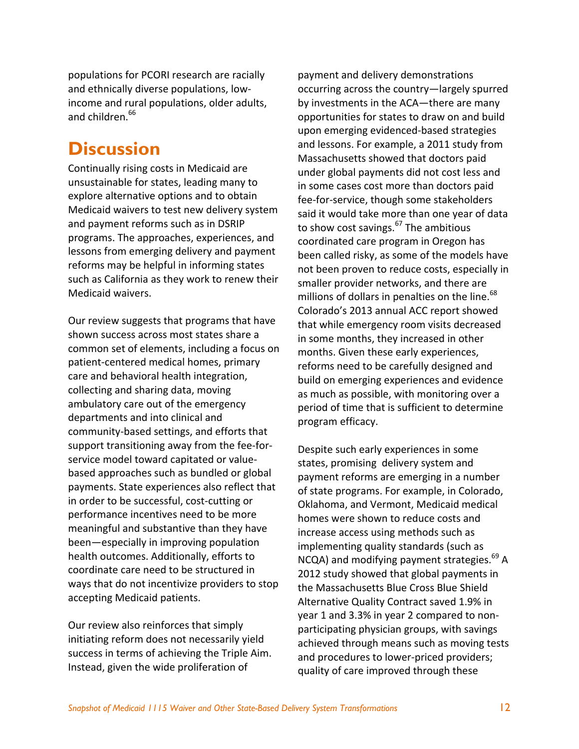populations for PCORI research are racially and ethnically diverse populations, low‐ income and rural populations, older adults, and children.<sup>66</sup>

# **Discussion**

Continually rising costs in Medicaid are unsustainable for states, leading many to explore alternative options and to obtain Medicaid waivers to test new delivery system and payment reforms such as in DSRIP programs. The approaches, experiences, and lessons from emerging delivery and payment reforms may be helpful in informing states such as California as they work to renew their Medicaid waivers.

Our review suggests that programs that have shown success across most states share a common set of elements, including a focus on patient‐centered medical homes, primary care and behavioral health integration, collecting and sharing data, moving ambulatory care out of the emergency departments and into clinical and community‐based settings, and efforts that support transitioning away from the fee-forservice model toward capitated or value‐ based approaches such as bundled or global payments. State experiences also reflect that in order to be successful, cost‐cutting or performance incentives need to be more meaningful and substantive than they have been—especially in improving population health outcomes. Additionally, efforts to coordinate care need to be structured in ways that do not incentivize providers to stop accepting Medicaid patients.

Our review also reinforces that simply initiating reform does not necessarily yield success in terms of achieving the Triple Aim. Instead, given the wide proliferation of

payment and delivery demonstrations occurring across the country—largely spurred by investments in the ACA—there are many opportunities for states to draw on and build upon emerging evidenced‐based strategies and lessons. For example, a 2011 study from Massachusetts showed that doctors paid under global payments did not cost less and in some cases cost more than doctors paid fee-for-service, though some stakeholders said it would take more than one year of data to show cost savings. $^{67}$  The ambitious coordinated care program in Oregon has been called risky, as some of the models have not been proven to reduce costs, especially in smaller provider networks, and there are millions of dollars in penalties on the line.<sup>68</sup> Colorado's 2013 annual ACC report showed that while emergency room visits decreased in some months, they increased in other months. Given these early experiences, reforms need to be carefully designed and build on emerging experiences and evidence as much as possible, with monitoring over a period of time that is sufficient to determine program efficacy.

Despite such early experiences in some states, promising delivery system and payment reforms are emerging in a number of state programs. For example, in Colorado, Oklahoma, and Vermont, Medicaid medical homes were shown to reduce costs and increase access using methods such as implementing quality standards (such as  $NCA$ ) and modifying payment strategies.<sup>69</sup> A 2012 study showed that global payments in the Massachusetts Blue Cross Blue Shield Alternative Quality Contract saved 1.9% in year 1 and 3.3% in year 2 compared to non‐ participating physician groups, with savings achieved through means such as moving tests and procedures to lower‐priced providers; quality of care improved through these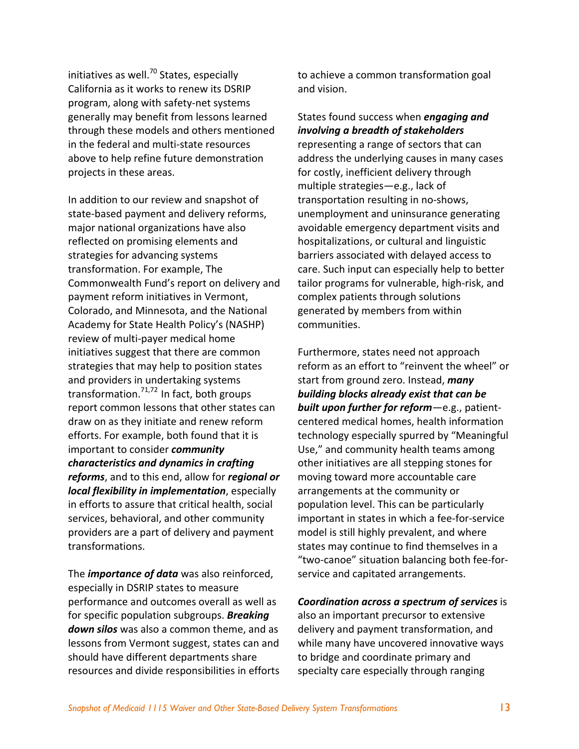initiatives as well. $^{70}$  States, especially California as it works to renew its DSRIP program, along with safety‐net systems generally may benefit from lessons learned through these models and others mentioned in the federal and multi‐state resources above to help refine future demonstration projects in these areas.

In addition to our review and snapshot of state‐based payment and delivery reforms, major national organizations have also reflected on promising elements and strategies for advancing systems transformation. For example, The Commonwealth Fund's report on delivery and payment reform initiatives in Vermont, Colorado, and Minnesota, and the National Academy for State Health Policy's (NASHP) review of multi‐payer medical home initiatives suggest that there are common strategies that may help to position states and providers in undertaking systems transformation.<sup>71,72</sup> In fact, both groups report common lessons that other states can draw on as they initiate and renew reform efforts. For example, both found that it is important to consider *community characteristics and dynamics in crafting reforms*, and to this end, allow for *regional or local flexibility in implementation*, especially in efforts to assure that critical health, social services, behavioral, and other community providers are a part of delivery and payment transformations.

The *importance of data* was also reinforced, especially in DSRIP states to measure performance and outcomes overall as well as for specific population subgroups. *Breaking down silos* was also a common theme, and as lessons from Vermont suggest, states can and should have different departments share resources and divide responsibilities in efforts to achieve a common transformation goal and vision.

States found success when *engaging and involving a breadth of stakeholders* representing a range of sectors that can address the underlying causes in many cases for costly, inefficient delivery through multiple strategies—e.g., lack of transportation resulting in no‐shows, unemployment and uninsurance generating avoidable emergency department visits and hospitalizations, or cultural and linguistic barriers associated with delayed access to care. Such input can especially help to better tailor programs for vulnerable, high‐risk, and complex patients through solutions generated by members from within communities.

Furthermore, states need not approach reform as an effort to "reinvent the wheel" or start from ground zero. Instead, *many building blocks already exist that can be built upon further for reform*—e.g., patient‐ centered medical homes, health information technology especially spurred by "Meaningful Use," and community health teams among other initiatives are all stepping stones for moving toward more accountable care arrangements at the community or population level. This can be particularly important in states in which a fee‐for‐service model is still highly prevalent, and where states may continue to find themselves in a "two‐canoe" situation balancing both fee‐for‐ service and capitated arrangements.

#### *Coordination across a spectrum of services* is

also an important precursor to extensive delivery and payment transformation, and while many have uncovered innovative ways to bridge and coordinate primary and specialty care especially through ranging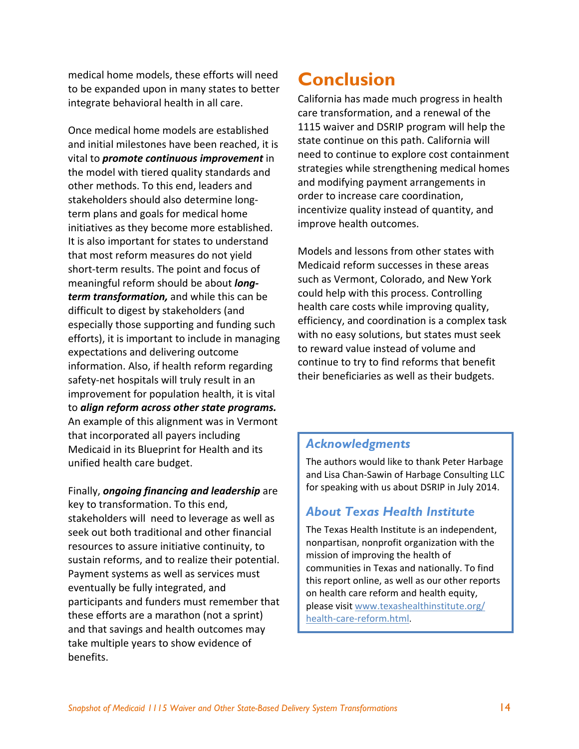medical home models, these efforts will need to be expanded upon in many states to better integrate behavioral health in all care.

Once medical home models are established and initial milestones have been reached, it is vital to *promote continuous improvement* in the model with tiered quality standards and other methods. To this end, leaders and stakeholders should also determine long‐ term plans and goals for medical home initiatives as they become more established. It is also important for states to understand that most reform measures do not yield short‐term results. The point and focus of meaningful reform should be about *long‐ term transformation,* and while this can be difficult to digest by stakeholders (and especially those supporting and funding such efforts), it is important to include in managing expectations and delivering outcome information. Also, if health reform regarding safety‐net hospitals will truly result in an improvement for population health, it is vital to *align reform across other state programs.* An example of this alignment was in Vermont that incorporated all payers including Medicaid in its Blueprint for Health and its unified health care budget.

Finally, *ongoing financing and leadership* are key to transformation. To this end, stakeholders will need to leverage as well as seek out both traditional and other financial resources to assure initiative continuity, to sustain reforms, and to realize their potential. Payment systems as well as services must eventually be fully integrated, and participants and funders must remember that these efforts are a marathon (not a sprint) and that savings and health outcomes may take multiple years to show evidence of benefits.

# **Conclusion**

California has made much progress in health care transformation, and a renewal of the 1115 waiver and DSRIP program will help the state continue on this path. California will need to continue to explore cost containment strategies while strengthening medical homes and modifying payment arrangements in order to increase care coordination, incentivize quality instead of quantity, and improve health outcomes.

Models and lessons from other states with Medicaid reform successes in these areas such as Vermont, Colorado, and New York could help with this process. Controlling health care costs while improving quality, efficiency, and coordination is a complex task with no easy solutions, but states must seek to reward value instead of volume and continue to try to find reforms that benefit their beneficiaries as well as their budgets.

### *Acknowledgments*

The authors would like to thank Peter Harbage and Lisa Chan‐Sawin of Harbage Consulting LLC for speaking with us about DSRIP in July 2014.

### *About Texas Health Institute*

The Texas Health Institute is an independent, nonpartisan, nonprofit organization with the mission of improving the health of communities in Texas and nationally. To find this report online, as well as our other reports on health care reform and health equity, please visit www.texashealthinstitute.org/ health-care-reform.html.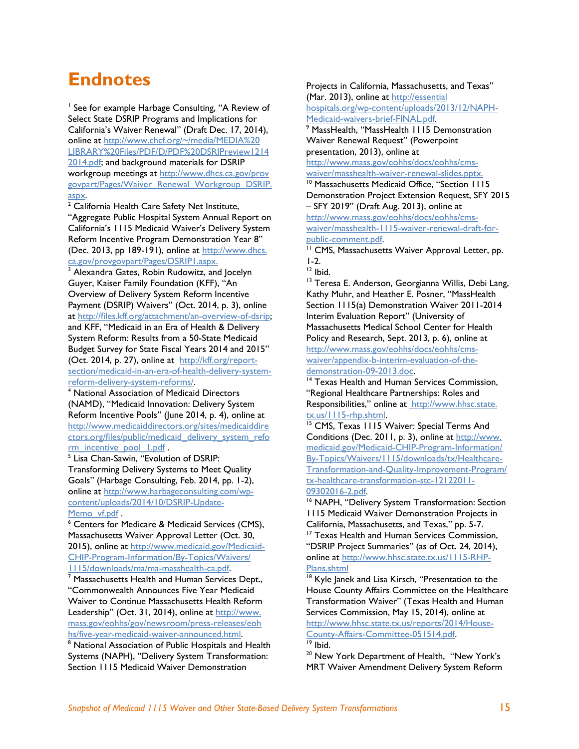# **Endnotes**

<sup>1</sup> See for example Harbage Consulting, "A Review of Select State DSRIP Programs and Implications for California's Waiver Renewal" (Draft Dec. 17, 2014), online at http://www.chcf.org/~/media/MEDIA%20 LIBRARY%20Files/PDF/D/PDF%20DSRIPreview1214 2014.pdf; and background materials for DSRIP workgroup meetings at http://www.dhcs.ca.gov/prov govpart/Pages/Waiver\_Renewal\_Workgroup\_DSRIP. aspx.

 $2$  California Health Care Safety Net Institute, "Aggregate Public Hospital System Annual Report on California's 1115 Medicaid Waiver's Delivery System Reform Incentive Program Demonstration Year 8" (Dec. 2013, pp 189-191), online at http://www.dhcs. ca.gov/provgovpart/Pages/DSRIP1.aspx.

<sup>3</sup> Alexandra Gates, Robin Rudowitz, and Jocelyn Guyer, Kaiser Family Foundation (KFF), "An Overview of Delivery System Reform Incentive Payment (DSRIP) Waivers" (Oct. 2014, p. 3), online at http://files.kff.org/attachment/an-overview-of-dsrip; and KFF, "Medicaid in an Era of Health & Delivery System Reform: Results from a 50-State Medicaid Budget Survey for State Fiscal Years 2014 and 2015" (Oct. 2014, p. 27), online at http://kff.org/reportsection/medicaid-in-an-era-of-health-delivery-systemreform-delivery-system-reforms/. 4

 National Association of Medicaid Directors (NAMD), "Medicaid Innovation: Delivery System Reform Incentive Pools" (June 2014, p. 4), online at http://www.medicaiddirectors.org/sites/medicaiddire ctors.org/files/public/medicaid\_delivery\_system\_refo rm\_incentive\_pool\_1.pdf .

<sup>5</sup> Lisa Chan-Sawin, "Evolution of DSRIP: Transforming Delivery Systems to Meet Quality Goals" (Harbage Consulting, Feb. 2014, pp. 1-2), online at http://www.harbageconsulting.com/wpcontent/uploads/2014/10/DSRIP-Update-Memo\_vf.pdf .

 Centers for Medicare & Medicaid Services (CMS), Massachusetts Waiver Approval Letter (Oct. 30, 2015), online at http://www.medicaid.gov/Medicaid-CHIP-Program-Information/By-Topics/Waivers/ 1115/downloads/ma/ma-masshealth-ca.pdf. 7

 $\frac{1}{7}$  Massachusetts Health and Human Services Dept., "Commonwealth Announces Five Year Medicaid Waiver to Continue Massachusetts Health Reform Leadership" (Oct. 31, 2014), online at http://www. mass.gov/eohhs/gov/newsroom/press-releases/eoh hs/five-year-medicaid-waiver-announced.html. 8

<sup>8</sup> National Association of Public Hospitals and Health Systems (NAPH), "Delivery System Transformation: Section 1115 Medicaid Waiver Demonstration

Projects in California, Massachusetts, and Texas" (Mar. 2013), online at http://essential

hospitals.org/wp-content/uploads/2013/12/NAPH-Medicaid-waivers-brief-FINAL.pdf.

<sup>9</sup> MassHealth, "MassHealth 1115 Demonstration Waiver Renewal Request" (Powerpoint presentation, 2013), online at

http://www.mass.gov/eohhs/docs/eohhs/cmswaiver/masshealth-waiver-renewal-slides.pptx.

<sup>10</sup> Massachusetts Medicaid Office, "Section 1115 Demonstration Project Extension Request, SFY 2015 – SFY 2019" (Draft Aug. 2013), online at http://www.mass.gov/eohhs/docs/eohhs/cmswaiver/masshealth-1115-waiver-renewal-draft-for-

public-comment.pdf.<br><sup>11</sup> CMS, Massachusetts Waiver Approval Letter, pp. 1-2.

<sup>12</sup> Ibid.

<sup>13</sup> Teresa E. Anderson, Georgianna Willis, Debi Lang, Kathy Muhr, and Heather E. Posner, "MassHealth Section 1115(a) Demonstration Waiver 2011-2014 Interim Evaluation Report" (University of Massachusetts Medical School Center for Health Policy and Research, Sept. 2013, p. 6), online at http://www.mass.gov/eohhs/docs/eohhs/cmswaiver/appendix-b-interim-evaluation-of-thedemonstration-09-2013.doc.<br><sup>14</sup> Texas Health and Human Services Commission,

"Regional Healthcare Partnerships: Roles and Responsibilities," online at http://www.hhsc.state. tx.us/1115-rhp.shtml.<br><sup>15</sup> CMS, Texas 1115 Waiver: Special Terms And

Conditions (Dec. 2011, p. 3), online at http://www. medicaid.gov/Medicaid-CHIP-Program-Information/ By-Topics/Waivers/1115/downloads/tx/Healthcare-Transformation-and-Quality-Improvement-Program/ tx-healthcare-transformation-stc-12122011-

09302016-2.pdf.<br><sup>16</sup> NAPH, "Delivery System Transformation: Section 1115 Medicaid Waiver Demonstration Projects in California, Massachusetts, and Texas," pp. 5-7. <sup>17</sup> Texas Health and Human Services Commission, "DSRIP Project Summaries" (as of Oct. 24, 2014), online at http://www.hhsc.state.tx.us/1115-RHP-

Plans.shtml<br><sup>18</sup> Kyle Janek and Lisa Kirsch, "Presentation to the House County Affairs Committee on the Healthcare Transformation Waiver" (Texas Health and Human Services Commission, May 15, 2014), online at http://www.hhsc.state.tx.us/reports/2014/House-County-Affairs-Committee-051514.pdf. 19 Ibid.

<sup>20</sup> New York Department of Health, "New York's MRT Waiver Amendment Delivery System Reform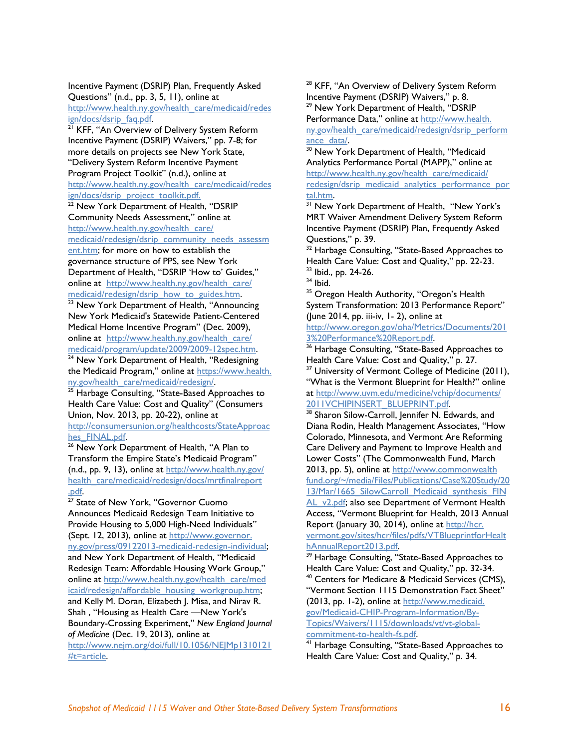Incentive Payment (DSRIP) Plan, Frequently Asked Questions" (n.d., pp. 3, 5, 11), online at http://www.health.ny.gov/health\_care/medicaid/redes

<u>ign/docs/dsrip\_faq.pdf</u>.<br><sup>21</sup> KFF, "An Overview of Delivery System Reform Incentive Payment (DSRIP) Waivers," pp. 7-8; for more details on projects see New York State, "Delivery System Reform Incentive Payment Program Project Toolkit" (n.d.), online at

http://www.health.ny.gov/health\_care/medicaid/redes ign/docs/dsrip\_project\_toolkit.pdf.

<sup>22</sup> New York Department of Health, "DSRIP Community Needs Assessment," online at http://www.health.ny.gov/health\_care/

medicaid/redesign/dsrip\_community\_needs\_assessm

ent.htm; for more on how to establish the governance structure of PPS, see New York Department of Health, "DSRIP 'How to' Guides," online at http://www.health.ny.gov/health\_care/

medicaid/redesign/dsrip\_how\_to\_guides.htm.<br><sup>23</sup> New York Department of Health, "Announcing New York Medicaid's Statewide Patient-Centered Medical Home Incentive Program" (Dec. 2009), online at http://www.health.ny.gov/health\_care/<br>medicaid/program/update/2009/2009-12spec.htm.

<sup>24</sup> New York Department of Health, "Redesigning the Medicaid Program," online at https://www.health. ny.gov/health\_care/medicaid/redesign/.<br><sup>25</sup> Harbage Consulting, "State-Based Approaches to

Health Care Value: Cost and Quality" (Consumers Union, Nov. 2013, pp. 20-22), online at

http://consumersunion.org/healthcosts/StateApproaches FINAL.pdf.

<sup>26</sup> New York Department of Health, "A Plan to Transform the Empire State's Medicaid Program" (n.d., pp. 9, 13), online at http://www.health.ny.gov/ health\_care/medicaid/redesign/docs/mrtfinalreport .<u>pdf</u>.<br><sup>27</sup> State of New York, "Governor Cuomo

Announces Medicaid Redesign Team Initiative to Provide Housing to 5,000 High-Need Individuals" (Sept. 12, 2013), online at http://www.governor. ny.gov/press/09122013-medicaid-redesign-individual; and New York Department of Health, "Medicaid Redesign Team: Affordable Housing Work Group," online at http://www.health.ny.gov/health\_care/med icaid/redesign/affordable\_housing\_workgroup.htm; and Kelly M. Doran, Elizabeth J. Misa, and Nirav R. Shah , "Housing as Health Care —New York's Boundary-Crossing Experiment," *New England Journal of Medicine* (Dec. 19, 2013), online at

http://www.nejm.org/doi/full/10.1056/NEJMp1310121 #t=article.

<sup>28</sup> KFF, "An Overview of Delivery System Reform Incentive Payment (DSRIP) Waivers," p. 8. <sup>29</sup> New York Department of Health, "DSRIP Performance Data," online at http://www.health. ny.gov/health\_care/medicaid/redesign/dsrip\_perform ance\_data/.<br><sup>30</sup> New York Department of Health, "Medicaid

Analytics Performance Portal (MAPP)," online at http://www.health.ny.gov/health\_care/medicaid/ redesign/dsrip\_medicaid\_analytics\_performance\_por\_tal.htm.

<sup>31</sup> New York Department of Health, "New York's MRT Waiver Amendment Delivery System Reform Incentive Payment (DSRIP) Plan, Frequently Asked Questions," p. 39.

<sup>32</sup> Harbage Consulting, "State-Based Approaches to Health Care Value: Cost and Quality," pp. 22-23.<br><sup>33</sup> Ibid., pp. 24-26.

 $34$  Ibid.

<sup>35</sup> Oregon Health Authority, "Oregon's Health System Transformation: 2013 Performance Report" (June 2014, pp. iii-iv, 1- 2), online at

http://www.oregon.gov/oha/Metrics/Documents/201<br>3%20Performance%20Report.pdf.

 $36$  Harbage Consulting, "State-Based Approaches to Health Care Value: Cost and Quality," p. 27.

<sup>37</sup> University of Vermont College of Medicine (2011), "What is the Vermont Blueprint for Health?" online at http://www.uvm.edu/medicine/vchip/documents/<br>2011VCHIPINSERT\_BLUEPRINT.pdf.

<sup>38</sup> Sharon Silow-Carroll, Jennifer N. Edwards, and Diana Rodin, Health Management Associates, "How Colorado, Minnesota, and Vermont Are Reforming Care Delivery and Payment to Improve Health and Lower Costs" (The Commonwealth Fund, March 2013, pp. 5), online at http://www.commonwealth fund.org/~/media/Files/Publications/Case%20Study/20 13/Mar/1665 SilowCarroll Medicaid synthesis FIN

AL v2.pdf; also see Department of Vermont Health Access, "Vermont Blueprint for Health, 2013 Annual Report (January 30, 2014), online at http://hcr. vermont.gov/sites/hcr/files/pdfs/VTBlueprintforHealt<br>hAnnualReport2013.pdf

<sup>39</sup> Harbage Consulting, "State-Based Approaches to Health Care Value: Cost and Quality," pp. 32-34.<br><sup>40</sup> Centers for Medicare & Medicaid Services (CMS), "Vermont Section 1115 Demonstration Fact Sheet" (2013, pp. 1-2), online at http://www.medicaid. gov/Medicaid-CHIP-Program-Information/By-Topics/Waivers/1115/downloads/vt/vt-globalcommitment-to-health-fs.pdf.<br><sup>41</sup> Harbage Consulting, "State-Based Approaches to

Health Care Value: Cost and Quality," p. 34.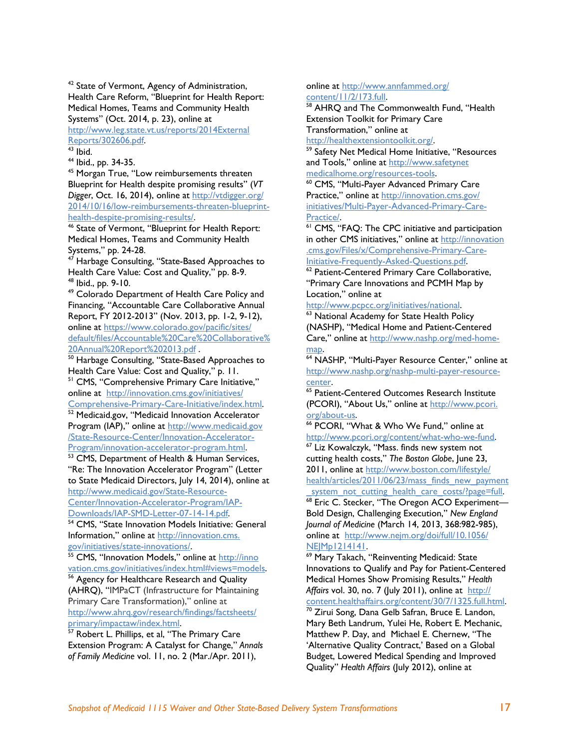<sup>42</sup> State of Vermont, Agency of Administration, Health Care Reform, "Blueprint for Health Report: Medical Homes, Teams and Community Health Systems" (Oct. 2014, p. 23), online at

http://www.leg.state.vt.us/reports/2014External Reports/302606.pdf. 43 Ibid.

44 Ibid., pp. 34-35.

45 Morgan True, "Low reimbursements threaten Blueprint for Health despite promising results" (*VT Digger*, Oct. 16, 2014), online at http://vtdigger.org/ 2014/10/16/low-reimbursements-threaten-blueprinthealth-despite-promising-results/.<br><sup>46</sup> State of Vermont, "Blueprint for Health Report:

Medical Homes, Teams and Community Health Systems," pp. 24-28.

<sup>47</sup> Harbage Consulting, "State-Based Approaches to Health Care Value: Cost and Quality," pp. 8-9.<br><sup>48</sup> Ibid., pp. 9-10.

49 Colorado Department of Health Care Policy and Financing, "Accountable Care Collaborative Annual Report, FY 2012-2013" (Nov. 2013, pp. 1-2, 9-12), online at https://www.colorado.gov/pacific/sites/ default/files/Accountable%20Care%20Collaborative%

20Annual%20Report%202013.pdf .<br><sup>50</sup> Harbage Consulting, "State-Based Approaches to<br>Health Care Value: Cost and Quality," p. 11.

<sup>51</sup> CMS, "Comprehensive Primary Care Initiative," online at http://innovation.cms.gov/initiatives/<br>Comprehensive-Primary-Care-Initiative/index.html.

<sup>52</sup> Medicaid.gov, "Medicaid Innovation Accelerator Program (IAP)," online at http://www.medicaid.gov /State-Resource-Center/Innovation-Accelerator-

Program/innovation-accelerator-program.html.<br><sup>53</sup> CMS, Department of Health & Human Services, "Re: The Innovation Accelerator Program" (Letter to State Medicaid Directors, July 14, 2014), online at http://www.medicaid.gov/State-Resource-

Center/Innovation-Accelerator-Program/IAP-<br>Downloads/IAP-SMD-Letter-07-14-14.pdf <sup>54</sup> CMS, "State Innovation Models Initiative: General

Information," online at http://innovation.cms. gov/initiatives/state-innovations/.<br><sup>55</sup> CMS, "Innovation Models," online at http://inno

vation.cms.gov/initiatives/index.html#views=models. 56 Agency for Healthcare Research and Quality (AHRQ), "IMPaCT (Infrastructure for Maintaining Primary Care Transformation)," online at http://www.ahrq.gov/research/findings/factsheets/<br>primary/impactaw/index.html

57 Robert L. Phillips, et al, "The Primary Care Extension Program: A Catalyst for Change," *Annals of Family Medicine* vol. 11, no. 2 (Mar./Apr. 2011),

online at http://www.annfammed.org/<br>content/11/2/173.full.

 $58$  AHRO and The Commonwealth Fund, "Health Extension Toolkit for Primary Care Transformation," online at

http://healthextensiontoolkit.org/.<br><sup>59</sup> Safety Net Medical Home Initiative, "Resources and Tools," online at http://www.safetynet

medicalhome.org/resources-tools.<br><sup>60</sup> CMS, "Multi-Payer Advanced Primary Care Practice," online at http://innovation.cms.gov/ initiatives/Multi-Payer-Advanced-Primary-Care-

Practice/.<br><sup>61</sup> CMS, "FAQ: The CPC initiative and participation in other CMS initiatives," online at http://innovation .cms.gov/Files/x/Comprehensive-Primary-Care-<br>Initiative-Frequently-Asked-Questions.pdf

<sup>62</sup> Patient-Centered Primary Care Collaborative, "Primary Care Innovations and PCMH Map by Location," online at

http://www.pcpcc.org/initiatives/national.<br><sup>63</sup> National Academy for State Health Policy

(NASHP), "Medical Home and Patient-Centered Care," online at http://www.nashp.org/med-home-<u>map</u>.<br><sup>64</sup> NASHP, "Multi-Payer Resource Center," online at

http://www.nashp.org/nashp-multi-payer-resourcecenter.<br><sup>65</sup> Patient-Centered Outcomes Research Institute

(PCORI), "About Us," online at http://www.pcori.

org/about-us.<br><sup>66</sup> PCORI, "What & Who We Fund," online at<br>http://www.pcori.org/content/what-who-we-fund.  $67$  Liz Kowalczyk, "Mass. finds new system not cutting health costs," *The Boston Globe*, June 23,

2011, online at http://www.boston.com/lifestyle/ health/articles/2011/06/23/mass\_finds\_new\_payment

\_system\_not\_cutting\_health\_care\_costs/?page=full. 68 Eric C. Stecker, "The Oregon ACO Experiment— Bold Design, Challenging Execution," *New England Journal of Medicine* (March 14, 2013, 368:982-985), online at http://www.nejm.org/doi/full/10.1056/ NEJMp1214141.<br><sup>69</sup> Mary Takach, "Reinventing Medicaid: State

Innovations to Qualify and Pay for Patient-Centered Medical Homes Show Promising Results," *Health*  Affairs vol. 30, no. 7 (July 2011), online at http://<br>content.healthaffairs.org/content/30/7/1325.full.html.  $\overline{70}$  Zirui Song, Dana Gelb Safran, Bruce E. Landon, Mary Beth Landrum, Yulei He, Robert E. Mechanic, Matthew P. Day, and Michael E. Chernew, "The 'Alternative Quality Contract,' Based on a Global Budget, Lowered Medical Spending and Improved

Quality" *Health Affairs* (July 2012), online at